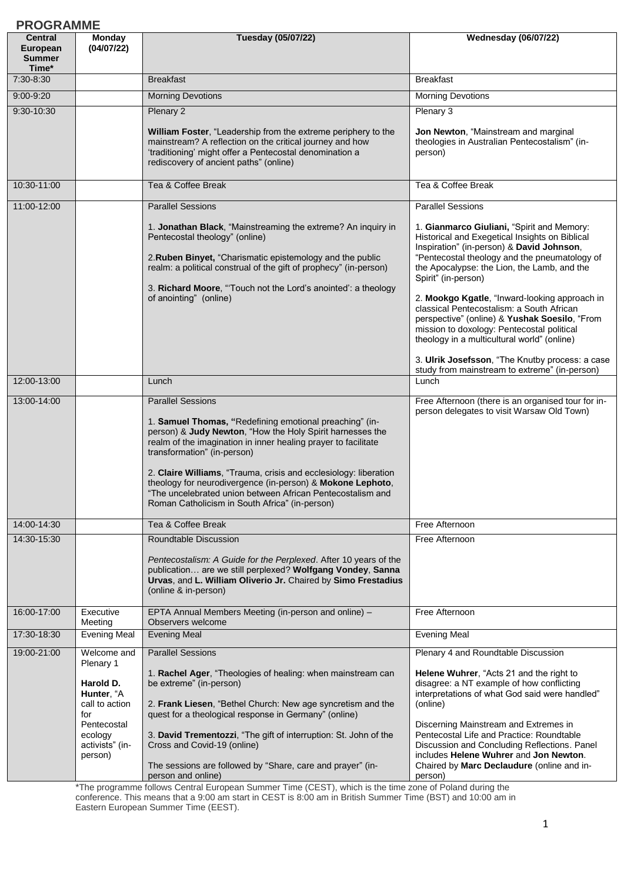| <b>PROGRAMME</b>                                     |                                                                                                                                      |                                                                                                                                                                                                                                                                                                                                                                                                                                                                                                                                                                                                                                                                                                                                                                                                                                                                         |                                                                                                                                                                                                                                                                                                                                                                                                                                                                                                                                                                                                                                                                                                                                                           |
|------------------------------------------------------|--------------------------------------------------------------------------------------------------------------------------------------|-------------------------------------------------------------------------------------------------------------------------------------------------------------------------------------------------------------------------------------------------------------------------------------------------------------------------------------------------------------------------------------------------------------------------------------------------------------------------------------------------------------------------------------------------------------------------------------------------------------------------------------------------------------------------------------------------------------------------------------------------------------------------------------------------------------------------------------------------------------------------|-----------------------------------------------------------------------------------------------------------------------------------------------------------------------------------------------------------------------------------------------------------------------------------------------------------------------------------------------------------------------------------------------------------------------------------------------------------------------------------------------------------------------------------------------------------------------------------------------------------------------------------------------------------------------------------------------------------------------------------------------------------|
| <b>Central</b><br>European<br><b>Summer</b><br>Time* | Monday<br>(04/07/22)                                                                                                                 | Tuesday (05/07/22)                                                                                                                                                                                                                                                                                                                                                                                                                                                                                                                                                                                                                                                                                                                                                                                                                                                      | <b>Wednesday (06/07/22)</b>                                                                                                                                                                                                                                                                                                                                                                                                                                                                                                                                                                                                                                                                                                                               |
| 7:30-8:30                                            |                                                                                                                                      | <b>Breakfast</b>                                                                                                                                                                                                                                                                                                                                                                                                                                                                                                                                                                                                                                                                                                                                                                                                                                                        | <b>Breakfast</b>                                                                                                                                                                                                                                                                                                                                                                                                                                                                                                                                                                                                                                                                                                                                          |
| 9:00-9:20                                            |                                                                                                                                      | <b>Morning Devotions</b>                                                                                                                                                                                                                                                                                                                                                                                                                                                                                                                                                                                                                                                                                                                                                                                                                                                | <b>Morning Devotions</b>                                                                                                                                                                                                                                                                                                                                                                                                                                                                                                                                                                                                                                                                                                                                  |
| 9:30-10:30                                           |                                                                                                                                      | Plenary 2<br>William Foster, "Leadership from the extreme periphery to the<br>mainstream? A reflection on the critical journey and how<br>'traditioning' might offer a Pentecostal denomination a<br>rediscovery of ancient paths" (online)                                                                                                                                                                                                                                                                                                                                                                                                                                                                                                                                                                                                                             | Plenary 3<br>Jon Newton, "Mainstream and marginal<br>theologies in Australian Pentecostalism" (in-<br>person)                                                                                                                                                                                                                                                                                                                                                                                                                                                                                                                                                                                                                                             |
| 10:30-11:00                                          |                                                                                                                                      | Tea & Coffee Break                                                                                                                                                                                                                                                                                                                                                                                                                                                                                                                                                                                                                                                                                                                                                                                                                                                      | Tea & Coffee Break                                                                                                                                                                                                                                                                                                                                                                                                                                                                                                                                                                                                                                                                                                                                        |
| 11:00-12:00<br>12:00-13:00<br>13:00-14:00            |                                                                                                                                      | <b>Parallel Sessions</b><br>1. Jonathan Black, "Mainstreaming the extreme? An inquiry in<br>Pentecostal theology" (online)<br>2. Ruben Binyet, "Charismatic epistemology and the public<br>realm: a political construal of the gift of prophecy" (in-person)<br>3. Richard Moore, "Touch not the Lord's anointed': a theology<br>of anointing" (online)<br>Lunch<br><b>Parallel Sessions</b><br>1. Samuel Thomas, "Redefining emotional preaching" (in-<br>person) & Judy Newton, "How the Holy Spirit harnesses the<br>realm of the imagination in inner healing prayer to facilitate<br>transformation" (in-person)<br>2. Claire Williams, "Trauma, crisis and ecclesiology: liberation<br>theology for neurodivergence (in-person) & Mokone Lephoto,<br>"The uncelebrated union between African Pentecostalism and<br>Roman Catholicism in South Africa" (in-person) | <b>Parallel Sessions</b><br>1. Gianmarco Giuliani, "Spirit and Memory:<br>Historical and Exegetical Insights on Biblical<br>Inspiration" (in-person) & David Johnson,<br>"Pentecostal theology and the pneumatology of<br>the Apocalypse: the Lion, the Lamb, and the<br>Spirit" (in-person)<br>2. Mookgo Kgatle, "Inward-looking approach in<br>classical Pentecostalism: a South African<br>perspective" (online) & Yushak Soesilo, "From<br>mission to doxology: Pentecostal political<br>theology in a multicultural world" (online)<br>3. Ulrik Josefsson, "The Knutby process: a case<br>study from mainstream to extreme" (in-person)<br>Lunch<br>Free Afternoon (there is an organised tour for in-<br>person delegates to visit Warsaw Old Town) |
| 14:00-14:30                                          |                                                                                                                                      | Tea & Coffee Break                                                                                                                                                                                                                                                                                                                                                                                                                                                                                                                                                                                                                                                                                                                                                                                                                                                      | Free Afternoon                                                                                                                                                                                                                                                                                                                                                                                                                                                                                                                                                                                                                                                                                                                                            |
| 14:30-15:30                                          |                                                                                                                                      | <b>Roundtable Discussion</b><br>Pentecostalism: A Guide for the Perplexed. After 10 years of the<br>publication are we still perplexed? Wolfgang Vondey, Sanna<br>Urvas, and L. William Oliverio Jr. Chaired by Simo Frestadius<br>(online & in-person)                                                                                                                                                                                                                                                                                                                                                                                                                                                                                                                                                                                                                 | Free Afternoon                                                                                                                                                                                                                                                                                                                                                                                                                                                                                                                                                                                                                                                                                                                                            |
| 16:00-17:00                                          | Executive<br>Meeting                                                                                                                 | EPTA Annual Members Meeting (in-person and online) -<br>Observers welcome                                                                                                                                                                                                                                                                                                                                                                                                                                                                                                                                                                                                                                                                                                                                                                                               | Free Afternoon                                                                                                                                                                                                                                                                                                                                                                                                                                                                                                                                                                                                                                                                                                                                            |
| 17:30-18:30                                          | <b>Evening Meal</b>                                                                                                                  | <b>Evening Meal</b>                                                                                                                                                                                                                                                                                                                                                                                                                                                                                                                                                                                                                                                                                                                                                                                                                                                     | <b>Evening Meal</b>                                                                                                                                                                                                                                                                                                                                                                                                                                                                                                                                                                                                                                                                                                                                       |
| 19:00-21:00                                          | Welcome and<br>Plenary 1<br>Harold D.<br>Hunter, "A<br>call to action<br>for<br>Pentecostal<br>ecology<br>activists" (in-<br>person) | <b>Parallel Sessions</b><br>1. Rachel Ager, "Theologies of healing: when mainstream can<br>be extreme" (in-person)<br>2. Frank Liesen, "Bethel Church: New age syncretism and the<br>quest for a theological response in Germany" (online)<br>3. David Trementozzi, "The gift of interruption: St. John of the<br>Cross and Covid-19 (online)<br>The sessions are followed by "Share, care and prayer" (in-<br>person and online)                                                                                                                                                                                                                                                                                                                                                                                                                                       | Plenary 4 and Roundtable Discussion<br>Helene Wuhrer, "Acts 21 and the right to<br>disagree: a NT example of how conflicting<br>interpretations of what God said were handled"<br>(online)<br>Discerning Mainstream and Extremes in<br>Pentecostal Life and Practice: Roundtable<br>Discussion and Concluding Reflections. Panel<br>includes Helene Wuhrer and Jon Newton.<br>Chaired by Marc Declaudure (online and in-<br>person)                                                                                                                                                                                                                                                                                                                       |

\*The programme follows Central European Summer Time (CEST), which is the time zone of Poland during the conference. This means that a 9:00 am start in CEST is 8:00 am in British Summer Time (BST) and 10:00 am in Eastern European Summer Time (EEST).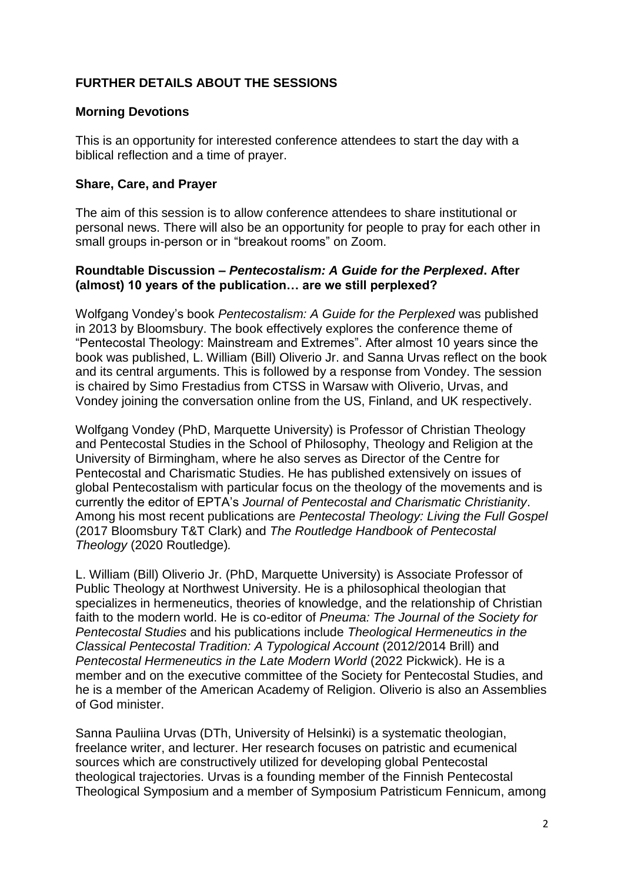# **FURTHER DETAILS ABOUT THE SESSIONS**

# **Morning Devotions**

This is an opportunity for interested conference attendees to start the day with a biblical reflection and a time of prayer.

#### **Share, Care, and Prayer**

The aim of this session is to allow conference attendees to share institutional or personal news. There will also be an opportunity for people to pray for each other in small groups in-person or in "breakout rooms" on Zoom.

# **Roundtable Discussion –** *Pentecostalism: A Guide for the Perplexed***. After (almost) 10 years of the publication… are we still perplexed?**

Wolfgang Vondey's book *Pentecostalism: A Guide for the Perplexed* was published in 2013 by Bloomsbury. The book effectively explores the conference theme of "Pentecostal Theology: Mainstream and Extremes". After almost 10 years since the book was published, L. William (Bill) Oliverio Jr. and Sanna Urvas reflect on the book and its central arguments. This is followed by a response from Vondey. The session is chaired by Simo Frestadius from CTSS in Warsaw with Oliverio, Urvas, and Vondey joining the conversation online from the US, Finland, and UK respectively.

Wolfgang Vondey (PhD, Marquette University) is Professor of Christian Theology and Pentecostal Studies in the School of Philosophy, Theology and Religion at the University of Birmingham, where he also serves as Director of the Centre for Pentecostal and Charismatic Studies. He has published extensively on issues of global Pentecostalism with particular focus on the theology of the movements and is currently the editor of EPTA's *Journal of Pentecostal and Charismatic Christianity*. Among his most recent publications are *Pentecostal Theology: Living the Full Gospel*  (2017 Bloomsbury T&T Clark) and *The Routledge Handbook of Pentecostal Theology* (2020 Routledge)*.*

L. William (Bill) Oliverio Jr. (PhD, Marquette University) is Associate Professor of Public Theology at Northwest University. He is a philosophical theologian that specializes in hermeneutics, theories of knowledge, and the relationship of Christian faith to the modern world. He is co-editor of *Pneuma: The Journal of the Society for Pentecostal Studies* and his publications include *Theological Hermeneutics in the Classical Pentecostal Tradition: A Typological Account* (2012/2014 Brill) and *Pentecostal Hermeneutics in the Late Modern World* (2022 Pickwick). He is a member and on the executive committee of the Society for Pentecostal Studies, and he is a member of the American Academy of Religion. Oliverio is also an Assemblies of God minister.

Sanna Pauliina Urvas (DTh, University of Helsinki) is a systematic theologian, freelance writer, and lecturer. Her research focuses on patristic and ecumenical sources which are constructively utilized for developing global Pentecostal theological trajectories. Urvas is a founding member of the Finnish Pentecostal Theological Symposium and a member of Symposium Patristicum Fennicum, among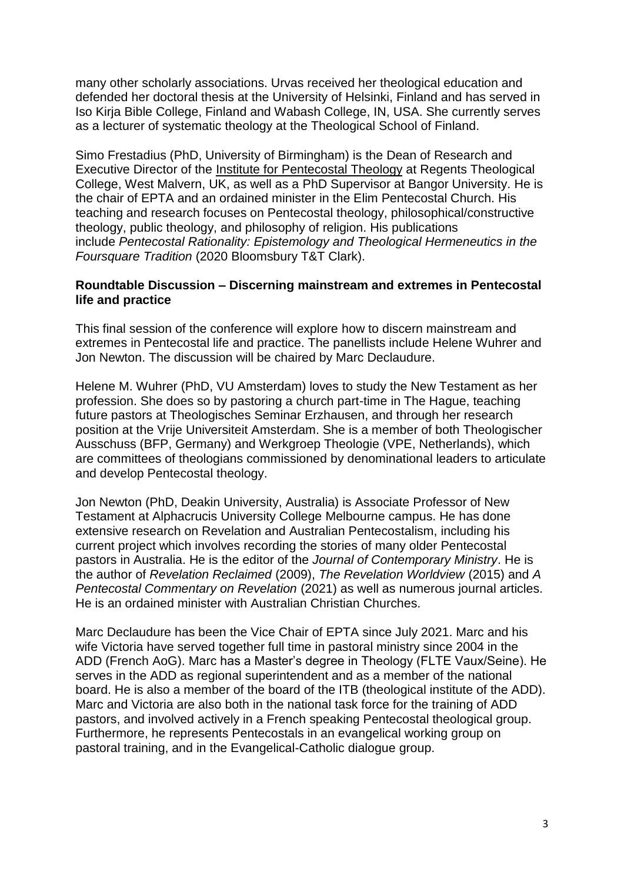many other scholarly associations. Urvas received her theological education and defended her doctoral thesis at the University of Helsinki, Finland and has served in Iso Kirja Bible College, Finland and Wabash College, IN, USA. She currently serves as a lecturer of systematic theology at the Theological School of Finland.

Simo Frestadius (PhD, University of Birmingham) is the Dean of Research and Executive Director of the Institute for [Pentecostal](https://www.regents-tc.ac.uk/research-centre/) Theology at Regents Theological College, West Malvern, UK, as well as a PhD Supervisor at Bangor University. He is the chair of EPTA and an ordained minister in the Elim Pentecostal Church. His teaching and research focuses on Pentecostal theology, philosophical/constructive theology, public theology, and philosophy of religion. His publications include *Pentecostal Rationality: Epistemology and Theological Hermeneutics in the Foursquare Tradition* (2020 Bloomsbury T&T Clark).

#### **Roundtable Discussion – Discerning mainstream and extremes in Pentecostal life and practice**

This final session of the conference will explore how to discern mainstream and extremes in Pentecostal life and practice. The panellists include Helene Wuhrer and Jon Newton. The discussion will be chaired by Marc Declaudure.

Helene M. Wuhrer (PhD, VU Amsterdam) loves to study the New Testament as her profession. She does so by pastoring a church part-time in The Hague, teaching future pastors at Theologisches Seminar Erzhausen, and through her research position at the Vrije Universiteit Amsterdam. She is a member of both Theologischer Ausschuss (BFP, Germany) and Werkgroep Theologie (VPE, Netherlands), which are committees of theologians commissioned by denominational leaders to articulate and develop Pentecostal theology.

Jon Newton (PhD, Deakin University, Australia) is Associate Professor of New Testament at Alphacrucis University College Melbourne campus. He has done extensive research on Revelation and Australian Pentecostalism, including his current project which involves recording the stories of many older Pentecostal pastors in Australia. He is the editor of the *Journal of Contemporary Ministry*. He is the author of *Revelation Reclaimed* (2009), *The Revelation Worldview* (2015) and *A Pentecostal Commentary on Revelation* (2021) as well as numerous journal articles. He is an ordained minister with Australian Christian Churches.

Marc Declaudure has been the Vice Chair of EPTA since July 2021. Marc and his wife Victoria have served together full time in pastoral ministry since 2004 in the ADD (French AoG). Marc has a Master's degree in Theology (FLTE Vaux/Seine). He serves in the ADD as regional superintendent and as a member of the national board. He is also a member of the board of the ITB (theological institute of the ADD). Marc and Victoria are also both in the national task force for the training of ADD pastors, and involved actively in a French speaking Pentecostal theological group. Furthermore, he represents Pentecostals in an evangelical working group on pastoral training, and in the Evangelical-Catholic dialogue group.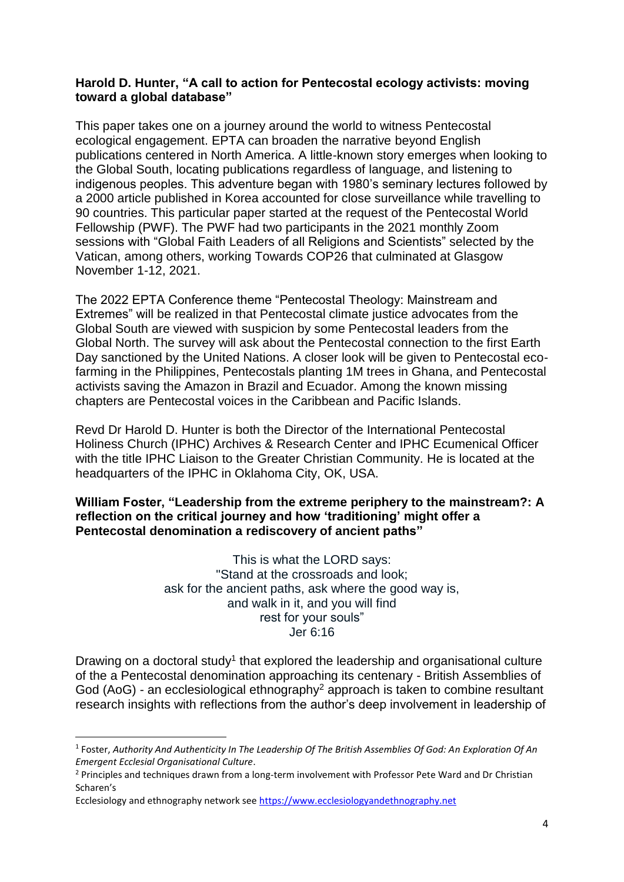## **Harold D. Hunter, "A call to action for Pentecostal ecology activists: moving toward a global database"**

This paper takes one on a journey around the world to witness Pentecostal ecological engagement. EPTA can broaden the narrative beyond English publications centered in North America. A little-known story emerges when looking to the Global South, locating publications regardless of language, and listening to indigenous peoples. This adventure began with 1980's seminary lectures followed by a 2000 article published in Korea accounted for close surveillance while travelling to 90 countries. This particular paper started at the request of the Pentecostal World Fellowship (PWF). The PWF had two participants in the 2021 monthly Zoom sessions with "Global Faith Leaders of all Religions and Scientists" selected by the Vatican, among others, working Towards COP26 that culminated at Glasgow November 1-12, 2021.

The 2022 EPTA Conference theme "Pentecostal Theology: Mainstream and Extremes" will be realized in that Pentecostal climate justice advocates from the Global South are viewed with suspicion by some Pentecostal leaders from the Global North. The survey will ask about the Pentecostal connection to the first Earth Day sanctioned by the United Nations. A closer look will be given to Pentecostal ecofarming in the Philippines, Pentecostals planting 1M trees in Ghana, and Pentecostal activists saving the Amazon in Brazil and Ecuador. Among the known missing chapters are Pentecostal voices in the Caribbean and Pacific Islands.

Revd Dr Harold D. Hunter is both the Director of the International Pentecostal Holiness Church (IPHC) Archives & Research Center and IPHC Ecumenical Officer with the title IPHC Liaison to the Greater Christian Community. He is located at the headquarters of the IPHC in Oklahoma City, OK, USA.

# **William Foster, "Leadership from the extreme periphery to the mainstream?: A reflection on the critical journey and how 'traditioning' might offer a Pentecostal denomination a rediscovery of ancient paths"**

This is what the LORD says: "Stand at the crossroads and look; ask for the ancient paths, ask where the good way is, and walk in it, and you will find rest for your souls" Jer 6:16

Drawing on a doctoral study<sup>1</sup> that explored the leadership and organisational culture of the a Pentecostal denomination approaching its centenary - British Assemblies of God (AoG) - an ecclesiological ethnography<sup>2</sup> approach is taken to combine resultant research insights with reflections from the author's deep involvement in leadership of

**.** 

<sup>1</sup> Foster, *Authority And Authenticity In The Leadership Of The British Assemblies Of God: An Exploration Of An Emergent Ecclesial Organisational Culture*.

<sup>&</sup>lt;sup>2</sup> Principles and techniques drawn from a long-term involvement with Professor Pete Ward and Dr Christian Scharen's

Ecclesiology and ethnography network se[e https://www.ecclesiologyandethnography.net](https://www.ecclesiologyandethnography.net/)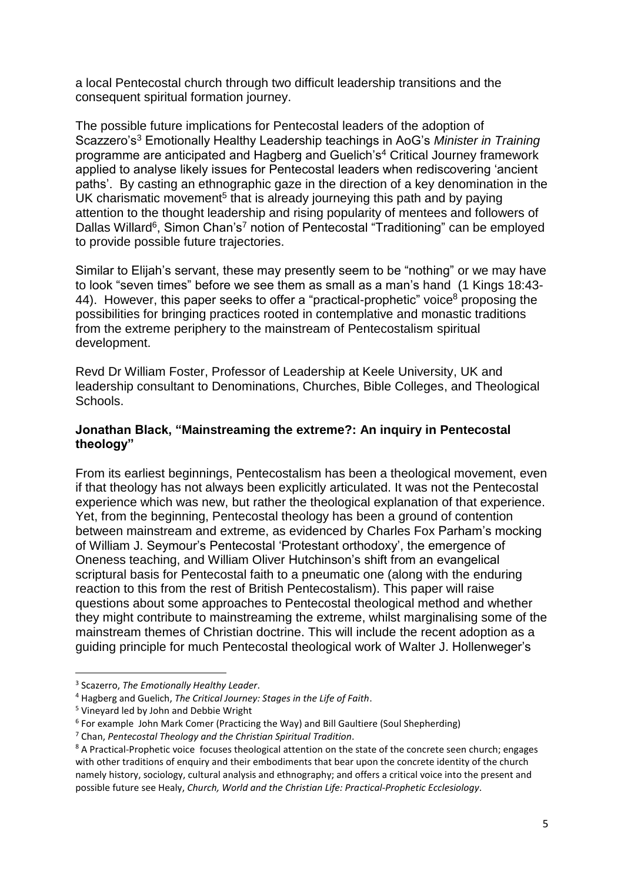a local Pentecostal church through two difficult leadership transitions and the consequent spiritual formation journey.

The possible future implications for Pentecostal leaders of the adoption of Scazzero's<sup>3</sup> Emotionally Healthy Leadership teachings in AoG's *Minister in Training* programme are anticipated and Hagberg and Guelich's<sup>4</sup> Critical Journey framework applied to analyse likely issues for Pentecostal leaders when rediscovering 'ancient paths'. By casting an ethnographic gaze in the direction of a key denomination in the UK charismatic movement<sup>5</sup> that is already journeying this path and by paying attention to the thought leadership and rising popularity of mentees and followers of Dallas Willard<sup>6</sup>, Simon Chan's<sup>7</sup> notion of Pentecostal "Traditioning" can be employed to provide possible future trajectories.

Similar to Elijah's servant, these may presently seem to be "nothing" or we may have to look "seven times" before we see them as small as a man's hand (1 Kings 18:43- 44). However, this paper seeks to offer a "practical-prophetic" voice<sup>8</sup> proposing the possibilities for bringing practices rooted in contemplative and monastic traditions from the extreme periphery to the mainstream of Pentecostalism spiritual development.

Revd Dr William Foster, Professor of Leadership at Keele University, UK and leadership consultant to Denominations, Churches, Bible Colleges, and Theological Schools.

# **Jonathan Black, "Mainstreaming the extreme?: An inquiry in Pentecostal theology"**

From its earliest beginnings, Pentecostalism has been a theological movement, even if that theology has not always been explicitly articulated. It was not the Pentecostal experience which was new, but rather the theological explanation of that experience. Yet, from the beginning, Pentecostal theology has been a ground of contention between mainstream and extreme, as evidenced by Charles Fox Parham's mocking of William J. Seymour's Pentecostal 'Protestant orthodoxy', the emergence of Oneness teaching, and William Oliver Hutchinson's shift from an evangelical scriptural basis for Pentecostal faith to a pneumatic one (along with the enduring reaction to this from the rest of British Pentecostalism). This paper will raise questions about some approaches to Pentecostal theological method and whether they might contribute to mainstreaming the extreme, whilst marginalising some of the mainstream themes of Christian doctrine. This will include the recent adoption as a guiding principle for much Pentecostal theological work of Walter J. Hollenweger's

**.** 

<sup>3</sup> Scazerro, *The Emotionally Healthy Leader*.

<sup>4</sup> Hagberg and Guelich, *The Critical Journey: Stages in the Life of Faith*.

<sup>5</sup> Vineyard led by John and Debbie Wright

<sup>&</sup>lt;sup>6</sup> For example John Mark Comer (Practicing the Way) and Bill Gaultiere (Soul Shepherding)

<sup>7</sup> Chan, *Pentecostal Theology and the Christian Spiritual Tradition*.

<sup>&</sup>lt;sup>8</sup> A Practical-Prophetic voice focuses theological attention on the state of the concrete seen church; engages with other traditions of enquiry and their embodiments that bear upon the concrete identity of the church namely history, sociology, cultural analysis and ethnography; and offers a critical voice into the present and possible future see Healy, *Church, World and the Christian Life: Practical-Prophetic Ecclesiology*.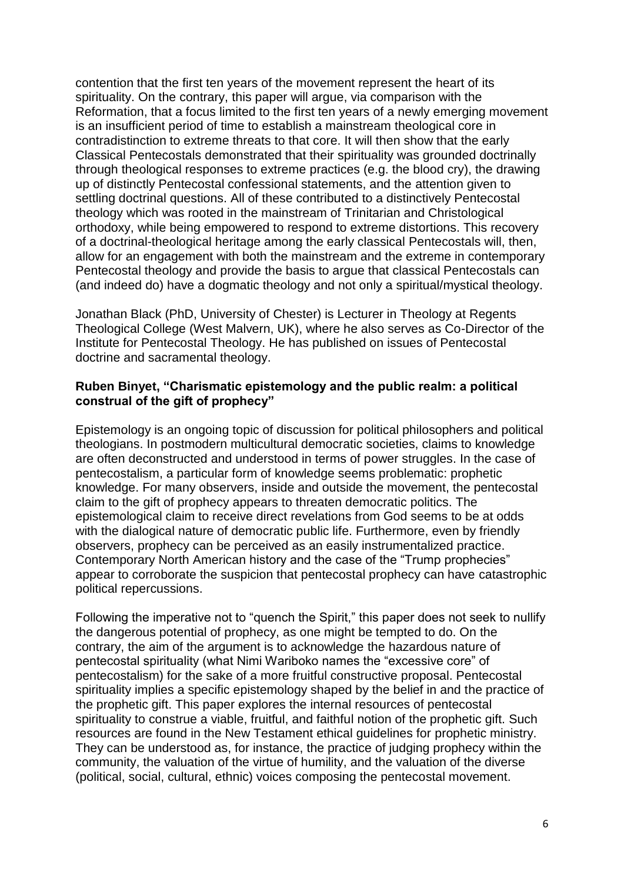contention that the first ten years of the movement represent the heart of its spirituality. On the contrary, this paper will argue, via comparison with the Reformation, that a focus limited to the first ten years of a newly emerging movement is an insufficient period of time to establish a mainstream theological core in contradistinction to extreme threats to that core. It will then show that the early Classical Pentecostals demonstrated that their spirituality was grounded doctrinally through theological responses to extreme practices (e.g. the blood cry), the drawing up of distinctly Pentecostal confessional statements, and the attention given to settling doctrinal questions. All of these contributed to a distinctively Pentecostal theology which was rooted in the mainstream of Trinitarian and Christological orthodoxy, while being empowered to respond to extreme distortions. This recovery of a doctrinal-theological heritage among the early classical Pentecostals will, then, allow for an engagement with both the mainstream and the extreme in contemporary Pentecostal theology and provide the basis to argue that classical Pentecostals can (and indeed do) have a dogmatic theology and not only a spiritual/mystical theology.

Jonathan Black (PhD, University of Chester) is Lecturer in Theology at Regents Theological College (West Malvern, UK), where he also serves as Co-Director of the Institute for Pentecostal Theology. He has published on issues of Pentecostal doctrine and sacramental theology.

#### **Ruben Binyet, "Charismatic epistemology and the public realm: a political construal of the gift of prophecy"**

Epistemology is an ongoing topic of discussion for political philosophers and political theologians. In postmodern multicultural democratic societies, claims to knowledge are often deconstructed and understood in terms of power struggles. In the case of pentecostalism, a particular form of knowledge seems problematic: prophetic knowledge. For many observers, inside and outside the movement, the pentecostal claim to the gift of prophecy appears to threaten democratic politics. The epistemological claim to receive direct revelations from God seems to be at odds with the dialogical nature of democratic public life. Furthermore, even by friendly observers, prophecy can be perceived as an easily instrumentalized practice. Contemporary North American history and the case of the "Trump prophecies" appear to corroborate the suspicion that pentecostal prophecy can have catastrophic political repercussions.

Following the imperative not to "quench the Spirit," this paper does not seek to nullify the dangerous potential of prophecy, as one might be tempted to do. On the contrary, the aim of the argument is to acknowledge the hazardous nature of pentecostal spirituality (what Nimi Wariboko names the "excessive core" of pentecostalism) for the sake of a more fruitful constructive proposal. Pentecostal spirituality implies a specific epistemology shaped by the belief in and the practice of the prophetic gift. This paper explores the internal resources of pentecostal spirituality to construe a viable, fruitful, and faithful notion of the prophetic gift. Such resources are found in the New Testament ethical guidelines for prophetic ministry. They can be understood as, for instance, the practice of judging prophecy within the community, the valuation of the virtue of humility, and the valuation of the diverse (political, social, cultural, ethnic) voices composing the pentecostal movement.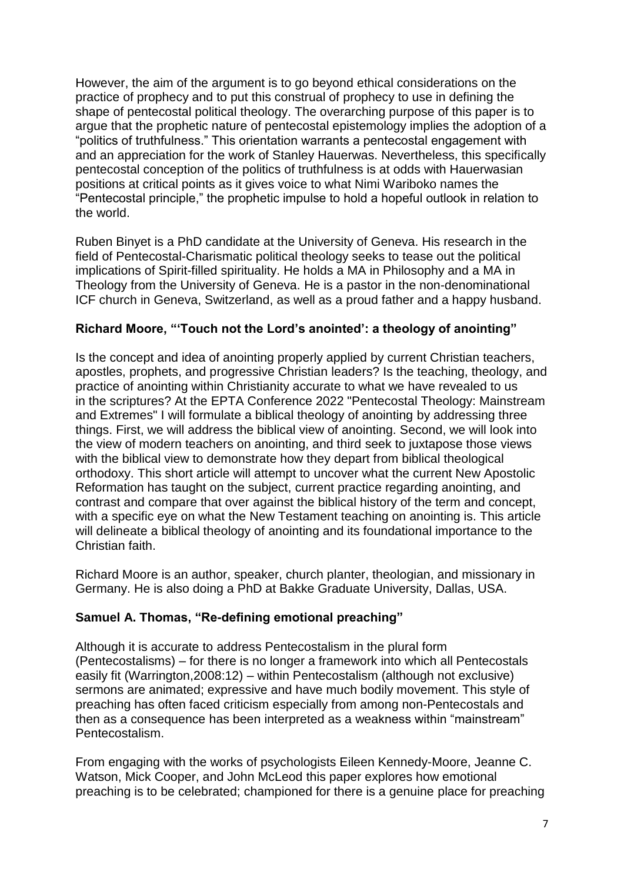However, the aim of the argument is to go beyond ethical considerations on the practice of prophecy and to put this construal of prophecy to use in defining the shape of pentecostal political theology. The overarching purpose of this paper is to argue that the prophetic nature of pentecostal epistemology implies the adoption of a "politics of truthfulness." This orientation warrants a pentecostal engagement with and an appreciation for the work of Stanley Hauerwas. Nevertheless, this specifically pentecostal conception of the politics of truthfulness is at odds with Hauerwasian positions at critical points as it gives voice to what Nimi Wariboko names the "Pentecostal principle," the prophetic impulse to hold a hopeful outlook in relation to the world.

Ruben Binyet is a PhD candidate at the University of Geneva. His research in the field of Pentecostal-Charismatic political theology seeks to tease out the political implications of Spirit-filled spirituality. He holds a MA in Philosophy and a MA in Theology from the University of Geneva. He is a pastor in the non-denominational ICF church in Geneva, Switzerland, as well as a proud father and a happy husband.

# **Richard Moore, "'Touch not the Lord's anointed': a theology of anointing"**

Is the concept and idea of anointing properly applied by current Christian teachers, apostles, prophets, and progressive Christian leaders? Is the teaching, theology, and practice of anointing within Christianity accurate to what we have revealed to us in the scriptures? At the EPTA Conference 2022 "Pentecostal Theology: Mainstream and Extremes" I will formulate a biblical theology of anointing by addressing three things. First, we will address the biblical view of anointing. Second, we will look into the view of modern teachers on anointing, and third seek to juxtapose those views with the biblical view to demonstrate how they depart from biblical theological orthodoxy. This short article will attempt to uncover what the current New Apostolic Reformation has taught on the subject, current practice regarding anointing, and contrast and compare that over against the biblical history of the term and concept, with a specific eye on what the New Testament teaching on anointing is. This article will delineate a biblical theology of anointing and its foundational importance to the Christian faith.

Richard Moore is an author, speaker, church planter, theologian, and missionary in Germany. He is also doing a PhD at Bakke Graduate University, Dallas, USA.

# **Samuel A. Thomas, "Re-defining emotional preaching"**

Although it is accurate to address Pentecostalism in the plural form (Pentecostalisms) – for there is no longer a framework into which all Pentecostals easily fit (Warrington,2008:12) – within Pentecostalism (although not exclusive) sermons are animated; expressive and have much bodily movement. This style of preaching has often faced criticism especially from among non-Pentecostals and then as a consequence has been interpreted as a weakness within "mainstream" Pentecostalism.

From engaging with the works of psychologists Eileen Kennedy-Moore, Jeanne C. Watson, Mick Cooper, and John McLeod this paper explores how emotional preaching is to be celebrated; championed for there is a genuine place for preaching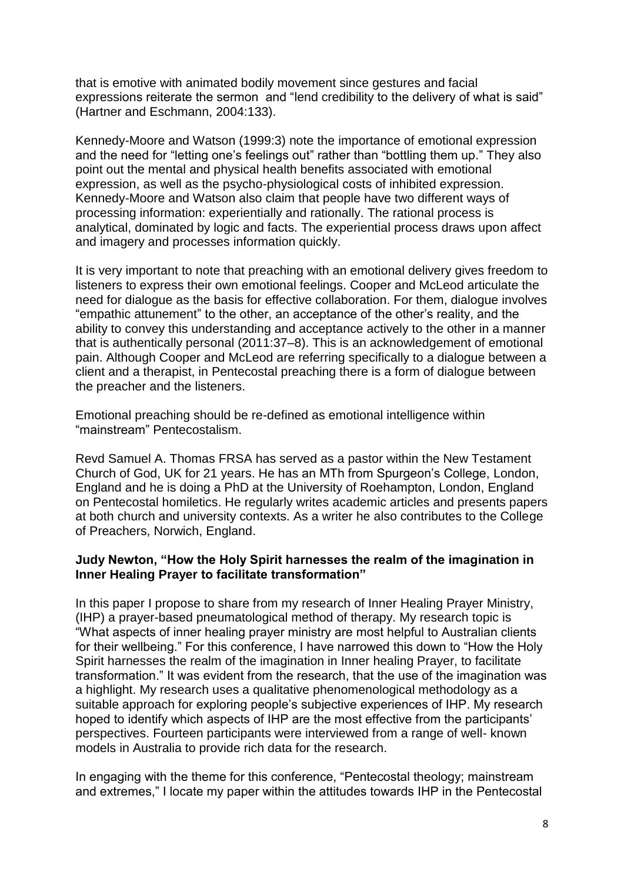that is emotive with animated bodily movement since gestures and facial expressions reiterate the sermon and "lend credibility to the delivery of what is said" (Hartner and Eschmann, 2004:133).

Kennedy-Moore and Watson (1999:3) note the importance of emotional expression and the need for "letting one's feelings out" rather than "bottling them up." They also point out the mental and physical health benefits associated with emotional expression, as well as the psycho-physiological costs of inhibited expression. Kennedy-Moore and Watson also claim that people have two different ways of processing information: experientially and rationally. The rational process is analytical, dominated by logic and facts. The experiential process draws upon affect and imagery and processes information quickly.

It is very important to note that preaching with an emotional delivery gives freedom to listeners to express their own emotional feelings. Cooper and McLeod articulate the need for dialogue as the basis for effective collaboration. For them, dialogue involves "empathic attunement" to the other, an acceptance of the other's reality, and the ability to convey this understanding and acceptance actively to the other in a manner that is authentically personal (2011:37–8). This is an acknowledgement of emotional pain. Although Cooper and McLeod are referring specifically to a dialogue between a client and a therapist, in Pentecostal preaching there is a form of dialogue between the preacher and the listeners.

Emotional preaching should be re-defined as emotional intelligence within "mainstream" Pentecostalism.

Revd Samuel A. Thomas FRSA has served as a pastor within the New Testament Church of God, UK for 21 years. He has an MTh from Spurgeon's College, London, England and he is doing a PhD at the University of Roehampton, London, England on Pentecostal homiletics. He regularly writes academic articles and presents papers at both church and university contexts. As a writer he also contributes to the College of Preachers, Norwich, England.

# **Judy Newton, "How the Holy Spirit harnesses the realm of the imagination in Inner Healing Prayer to facilitate transformation"**

In this paper I propose to share from my research of Inner Healing Prayer Ministry, (IHP) a prayer-based pneumatological method of therapy. My research topic is "What aspects of inner healing prayer ministry are most helpful to Australian clients for their wellbeing." For this conference, I have narrowed this down to "How the Holy Spirit harnesses the realm of the imagination in Inner healing Prayer, to facilitate transformation." It was evident from the research, that the use of the imagination was a highlight. My research uses a qualitative phenomenological methodology as a suitable approach for exploring people's subjective experiences of IHP. My research hoped to identify which aspects of IHP are the most effective from the participants' perspectives. Fourteen participants were interviewed from a range of well- known models in Australia to provide rich data for the research.

In engaging with the theme for this conference, "Pentecostal theology; mainstream and extremes," I locate my paper within the attitudes towards IHP in the Pentecostal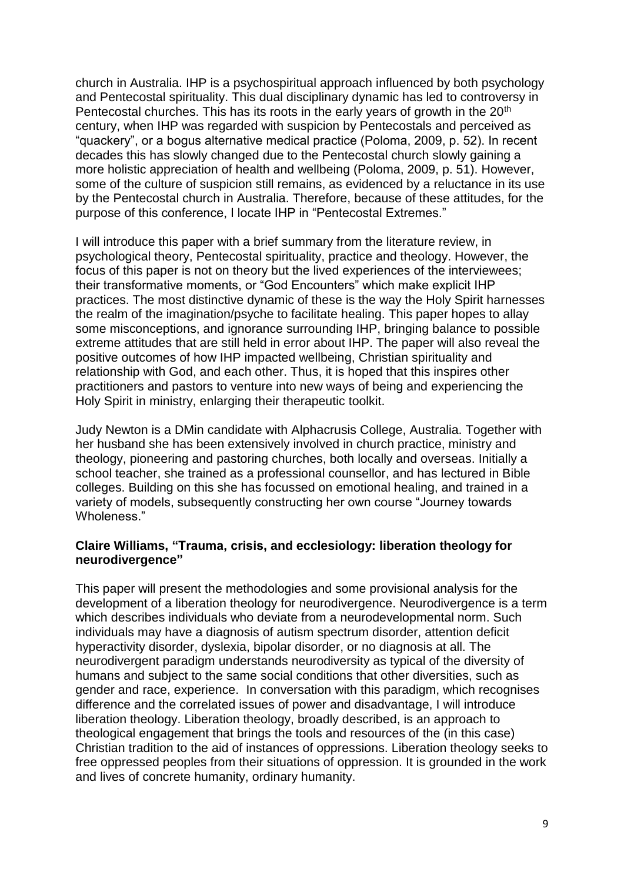church in Australia. IHP is a psychospiritual approach influenced by both psychology and Pentecostal spirituality. This dual disciplinary dynamic has led to controversy in Pentecostal churches. This has its roots in the early years of growth in the 20<sup>th</sup> century, when IHP was regarded with suspicion by Pentecostals and perceived as "quackery", or a bogus alternative medical practice (Poloma, 2009, p. 52). In recent decades this has slowly changed due to the Pentecostal church slowly gaining a more holistic appreciation of health and wellbeing (Poloma, 2009, p. 51). However, some of the culture of suspicion still remains, as evidenced by a reluctance in its use by the Pentecostal church in Australia. Therefore, because of these attitudes, for the purpose of this conference, I locate IHP in "Pentecostal Extremes."

I will introduce this paper with a brief summary from the literature review, in psychological theory, Pentecostal spirituality, practice and theology. However, the focus of this paper is not on theory but the lived experiences of the interviewees; their transformative moments, or "God Encounters" which make explicit IHP practices. The most distinctive dynamic of these is the way the Holy Spirit harnesses the realm of the imagination/psyche to facilitate healing. This paper hopes to allay some misconceptions, and ignorance surrounding IHP, bringing balance to possible extreme attitudes that are still held in error about IHP. The paper will also reveal the positive outcomes of how IHP impacted wellbeing, Christian spirituality and relationship with God, and each other. Thus, it is hoped that this inspires other practitioners and pastors to venture into new ways of being and experiencing the Holy Spirit in ministry, enlarging their therapeutic toolkit.

Judy Newton is a DMin candidate with Alphacrusis College, Australia. Together with her husband she has been extensively involved in church practice, ministry and theology, pioneering and pastoring churches, both locally and overseas. Initially a school teacher, she trained as a professional counsellor, and has lectured in Bible colleges. Building on this she has focussed on emotional healing, and trained in a variety of models, subsequently constructing her own course "Journey towards Wholeness."

#### **Claire Williams, "Trauma, crisis, and ecclesiology: liberation theology for neurodivergence"**

This paper will present the methodologies and some provisional analysis for the development of a liberation theology for neurodivergence. Neurodivergence is a term which describes individuals who deviate from a neurodevelopmental norm. Such individuals may have a diagnosis of autism spectrum disorder, attention deficit hyperactivity disorder, dyslexia, bipolar disorder, or no diagnosis at all. The neurodivergent paradigm understands neurodiversity as typical of the diversity of humans and subject to the same social conditions that other diversities, such as gender and race, experience. In conversation with this paradigm, which recognises difference and the correlated issues of power and disadvantage, I will introduce liberation theology. Liberation theology, broadly described, is an approach to theological engagement that brings the tools and resources of the (in this case) Christian tradition to the aid of instances of oppressions. Liberation theology seeks to free oppressed peoples from their situations of oppression. It is grounded in the work and lives of concrete humanity, ordinary humanity.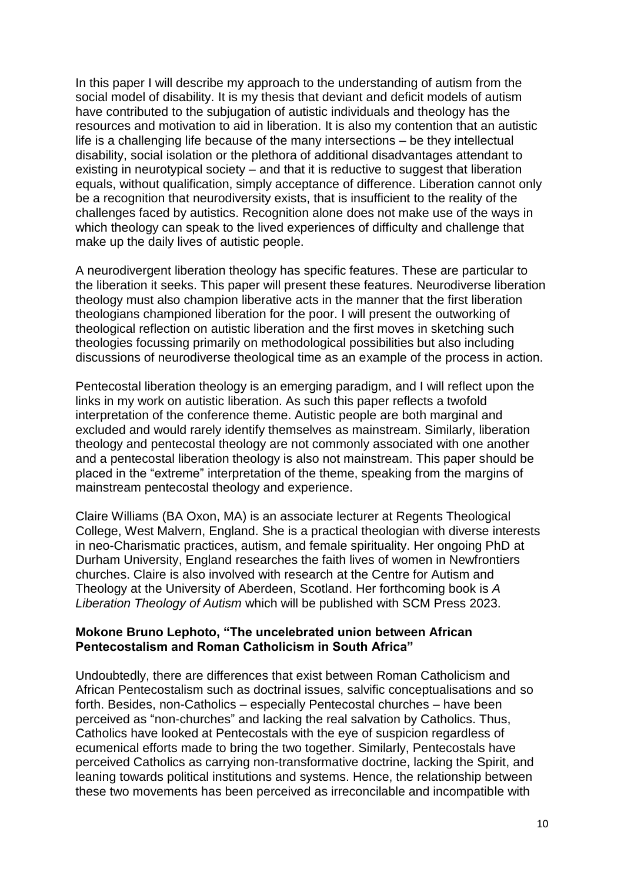In this paper I will describe my approach to the understanding of autism from the social model of disability. It is my thesis that deviant and deficit models of autism have contributed to the subjugation of autistic individuals and theology has the resources and motivation to aid in liberation. It is also my contention that an autistic life is a challenging life because of the many intersections – be they intellectual disability, social isolation or the plethora of additional disadvantages attendant to existing in neurotypical society – and that it is reductive to suggest that liberation equals, without qualification, simply acceptance of difference. Liberation cannot only be a recognition that neurodiversity exists, that is insufficient to the reality of the challenges faced by autistics. Recognition alone does not make use of the ways in which theology can speak to the lived experiences of difficulty and challenge that make up the daily lives of autistic people.

A neurodivergent liberation theology has specific features. These are particular to the liberation it seeks. This paper will present these features. Neurodiverse liberation theology must also champion liberative acts in the manner that the first liberation theologians championed liberation for the poor. I will present the outworking of theological reflection on autistic liberation and the first moves in sketching such theologies focussing primarily on methodological possibilities but also including discussions of neurodiverse theological time as an example of the process in action.

Pentecostal liberation theology is an emerging paradigm, and I will reflect upon the links in my work on autistic liberation. As such this paper reflects a twofold interpretation of the conference theme. Autistic people are both marginal and excluded and would rarely identify themselves as mainstream. Similarly, liberation theology and pentecostal theology are not commonly associated with one another and a pentecostal liberation theology is also not mainstream. This paper should be placed in the "extreme" interpretation of the theme, speaking from the margins of mainstream pentecostal theology and experience.

Claire Williams (BA Oxon, MA) is an associate lecturer at Regents Theological College, West Malvern, England. She is a practical theologian with diverse interests in neo-Charismatic practices, autism, and female spirituality. Her ongoing PhD at Durham University, England researches the faith lives of women in Newfrontiers churches. Claire is also involved with research at the Centre for Autism and Theology at the University of Aberdeen, Scotland. Her forthcoming book is *A Liberation Theology of Autism* which will be published with SCM Press 2023.

# **Mokone Bruno Lephoto, "The uncelebrated union between African Pentecostalism and Roman Catholicism in South Africa"**

Undoubtedly, there are differences that exist between Roman Catholicism and African Pentecostalism such as doctrinal issues, salvific conceptualisations and so forth. Besides, non-Catholics – especially Pentecostal churches – have been perceived as "non-churches" and lacking the real salvation by Catholics. Thus, Catholics have looked at Pentecostals with the eye of suspicion regardless of ecumenical efforts made to bring the two together. Similarly, Pentecostals have perceived Catholics as carrying non-transformative doctrine, lacking the Spirit, and leaning towards political institutions and systems. Hence, the relationship between these two movements has been perceived as irreconcilable and incompatible with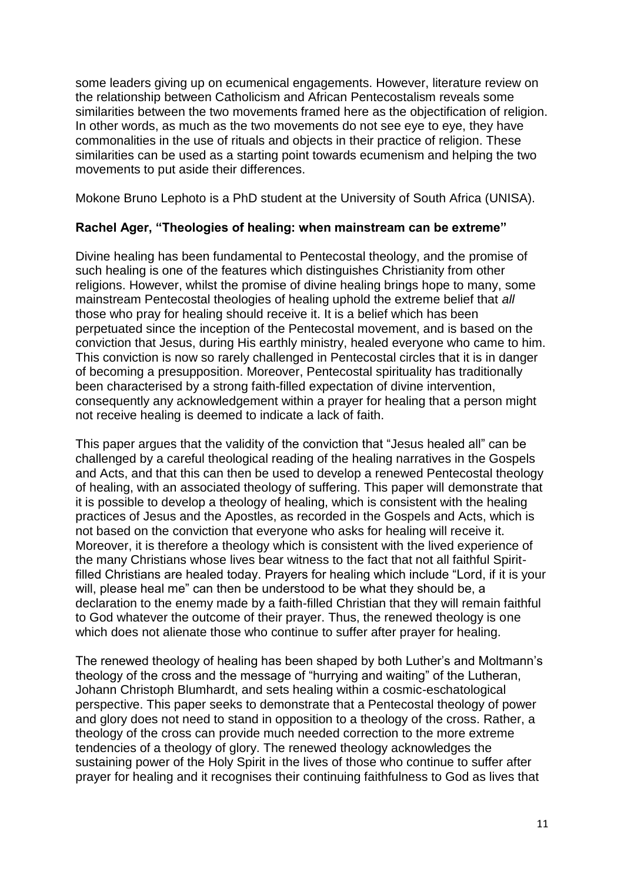some leaders giving up on ecumenical engagements. However, literature review on the relationship between Catholicism and African Pentecostalism reveals some similarities between the two movements framed here as the objectification of religion. In other words, as much as the two movements do not see eye to eye, they have commonalities in the use of rituals and objects in their practice of religion. These similarities can be used as a starting point towards ecumenism and helping the two movements to put aside their differences.

Mokone Bruno Lephoto is a PhD student at the University of South Africa (UNISA).

# **Rachel Ager, "Theologies of healing: when mainstream can be extreme"**

Divine healing has been fundamental to Pentecostal theology, and the promise of such healing is one of the features which distinguishes Christianity from other religions. However, whilst the promise of divine healing brings hope to many, some mainstream Pentecostal theologies of healing uphold the extreme belief that *all* those who pray for healing should receive it. It is a belief which has been perpetuated since the inception of the Pentecostal movement, and is based on the conviction that Jesus, during His earthly ministry, healed everyone who came to him. This conviction is now so rarely challenged in Pentecostal circles that it is in danger of becoming a presupposition. Moreover, Pentecostal spirituality has traditionally been characterised by a strong faith-filled expectation of divine intervention, consequently any acknowledgement within a prayer for healing that a person might not receive healing is deemed to indicate a lack of faith.

This paper argues that the validity of the conviction that "Jesus healed all" can be challenged by a careful theological reading of the healing narratives in the Gospels and Acts, and that this can then be used to develop a renewed Pentecostal theology of healing, with an associated theology of suffering. This paper will demonstrate that it is possible to develop a theology of healing, which is consistent with the healing practices of Jesus and the Apostles, as recorded in the Gospels and Acts, which is not based on the conviction that everyone who asks for healing will receive it. Moreover, it is therefore a theology which is consistent with the lived experience of the many Christians whose lives bear witness to the fact that not all faithful Spiritfilled Christians are healed today. Prayers for healing which include "Lord, if it is your will, please heal me" can then be understood to be what they should be, a declaration to the enemy made by a faith-filled Christian that they will remain faithful to God whatever the outcome of their prayer. Thus, the renewed theology is one which does not alienate those who continue to suffer after prayer for healing.

The renewed theology of healing has been shaped by both Luther's and Moltmann's theology of the cross and the message of "hurrying and waiting" of the Lutheran, Johann Christoph Blumhardt, and sets healing within a cosmic-eschatological perspective. This paper seeks to demonstrate that a Pentecostal theology of power and glory does not need to stand in opposition to a theology of the cross. Rather, a theology of the cross can provide much needed correction to the more extreme tendencies of a theology of glory. The renewed theology acknowledges the sustaining power of the Holy Spirit in the lives of those who continue to suffer after prayer for healing and it recognises their continuing faithfulness to God as lives that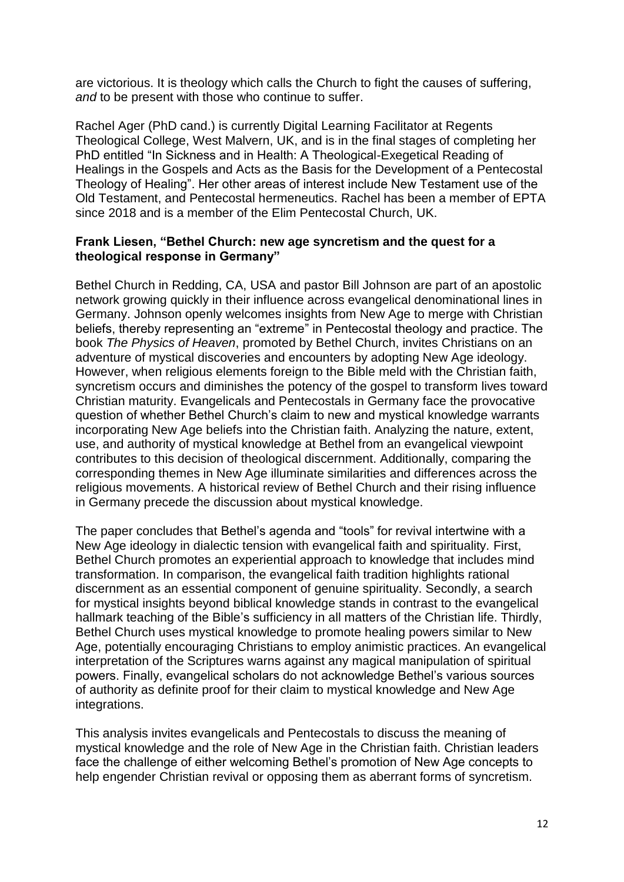are victorious. It is theology which calls the Church to fight the causes of suffering, *and* to be present with those who continue to suffer.

Rachel Ager (PhD cand.) is currently Digital Learning Facilitator at Regents Theological College, West Malvern, UK, and is in the final stages of completing her PhD entitled "In Sickness and in Health: A Theological-Exegetical Reading of Healings in the Gospels and Acts as the Basis for the Development of a Pentecostal Theology of Healing". Her other areas of interest include New Testament use of the Old Testament, and Pentecostal hermeneutics. Rachel has been a member of EPTA since 2018 and is a member of the Elim Pentecostal Church, UK.

# **Frank Liesen, "Bethel Church: new age syncretism and the quest for a theological response in Germany"**

Bethel Church in Redding, CA, USA and pastor Bill Johnson are part of an apostolic network growing quickly in their influence across evangelical denominational lines in Germany. Johnson openly welcomes insights from New Age to merge with Christian beliefs, thereby representing an "extreme" in Pentecostal theology and practice. The book *The Physics of Heaven*, promoted by Bethel Church, invites Christians on an adventure of mystical discoveries and encounters by adopting New Age ideology. However, when religious elements foreign to the Bible meld with the Christian faith, syncretism occurs and diminishes the potency of the gospel to transform lives toward Christian maturity. Evangelicals and Pentecostals in Germany face the provocative question of whether Bethel Church's claim to new and mystical knowledge warrants incorporating New Age beliefs into the Christian faith. Analyzing the nature, extent, use, and authority of mystical knowledge at Bethel from an evangelical viewpoint contributes to this decision of theological discernment. Additionally, comparing the corresponding themes in New Age illuminate similarities and differences across the religious movements. A historical review of Bethel Church and their rising influence in Germany precede the discussion about mystical knowledge.

The paper concludes that Bethel's agenda and "tools" for revival intertwine with a New Age ideology in dialectic tension with evangelical faith and spirituality. First, Bethel Church promotes an experiential approach to knowledge that includes mind transformation. In comparison, the evangelical faith tradition highlights rational discernment as an essential component of genuine spirituality. Secondly, a search for mystical insights beyond biblical knowledge stands in contrast to the evangelical hallmark teaching of the Bible's sufficiency in all matters of the Christian life. Thirdly, Bethel Church uses mystical knowledge to promote healing powers similar to New Age, potentially encouraging Christians to employ animistic practices. An evangelical interpretation of the Scriptures warns against any magical manipulation of spiritual powers. Finally, evangelical scholars do not acknowledge Bethel's various sources of authority as definite proof for their claim to mystical knowledge and New Age integrations.

This analysis invites evangelicals and Pentecostals to discuss the meaning of mystical knowledge and the role of New Age in the Christian faith. Christian leaders face the challenge of either welcoming Bethel's promotion of New Age concepts to help engender Christian revival or opposing them as aberrant forms of syncretism.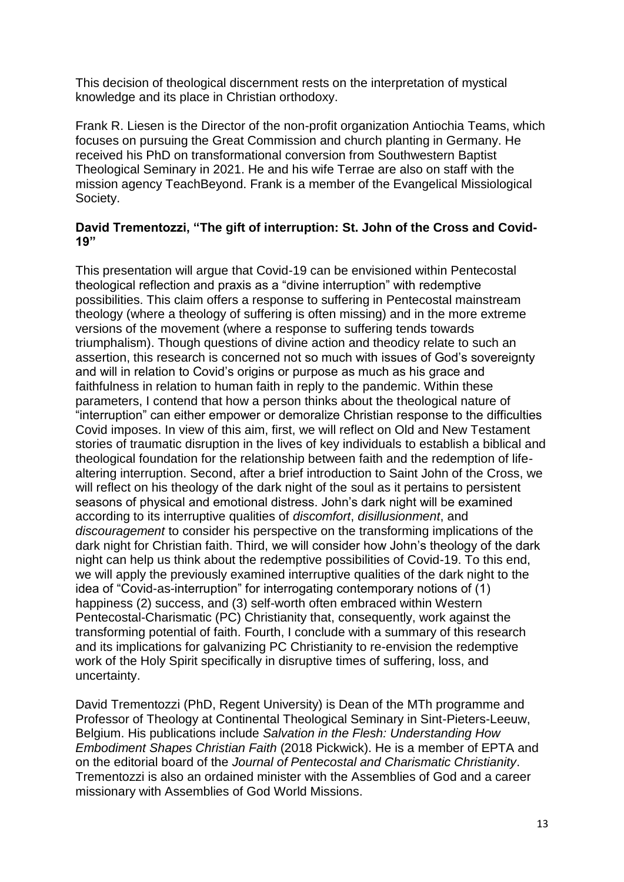This decision of theological discernment rests on the interpretation of mystical knowledge and its place in Christian orthodoxy.

Frank R. Liesen is the Director of the non-profit organization Antiochia Teams, which focuses on pursuing the Great Commission and church planting in Germany. He received his PhD on transformational conversion from Southwestern Baptist Theological Seminary in 2021. He and his wife Terrae are also on staff with the mission agency TeachBeyond. Frank is a member of the Evangelical Missiological Society.

# **David Trementozzi, "The gift of interruption: St. John of the Cross and Covid-19"**

This presentation will argue that Covid-19 can be envisioned within Pentecostal theological reflection and praxis as a "divine interruption" with redemptive possibilities. This claim offers a response to suffering in Pentecostal mainstream theology (where a theology of suffering is often missing) and in the more extreme versions of the movement (where a response to suffering tends towards triumphalism). Though questions of divine action and theodicy relate to such an assertion, this research is concerned not so much with issues of God's sovereignty and will in relation to Covid's origins or purpose as much as his grace and faithfulness in relation to human faith in reply to the pandemic. Within these parameters, I contend that how a person thinks about the theological nature of "interruption" can either empower or demoralize Christian response to the difficulties Covid imposes. In view of this aim, first, we will reflect on Old and New Testament stories of traumatic disruption in the lives of key individuals to establish a biblical and theological foundation for the relationship between faith and the redemption of lifealtering interruption. Second, after a brief introduction to Saint John of the Cross, we will reflect on his theology of the dark night of the soul as it pertains to persistent seasons of physical and emotional distress. John's dark night will be examined according to its interruptive qualities of *discomfort*, *disillusionment*, and *discouragement* to consider his perspective on the transforming implications of the dark night for Christian faith. Third, we will consider how John's theology of the dark night can help us think about the redemptive possibilities of Covid-19. To this end, we will apply the previously examined interruptive qualities of the dark night to the idea of "Covid-as-interruption" for interrogating contemporary notions of (1) happiness (2) success, and (3) self-worth often embraced within Western Pentecostal-Charismatic (PC) Christianity that, consequently, work against the transforming potential of faith. Fourth, I conclude with a summary of this research and its implications for galvanizing PC Christianity to re-envision the redemptive work of the Holy Spirit specifically in disruptive times of suffering, loss, and uncertainty.

David Trementozzi (PhD, Regent University) is Dean of the MTh programme and Professor of Theology at Continental Theological Seminary in Sint-Pieters-Leeuw, Belgium. His publications include *Salvation in the Flesh: Understanding How Embodiment Shapes Christian Faith* (2018 Pickwick). He is a member of EPTA and on the editorial board of the *Journal of Pentecostal and Charismatic Christianity*. Trementozzi is also an ordained minister with the Assemblies of God and a career missionary with Assemblies of God World Missions.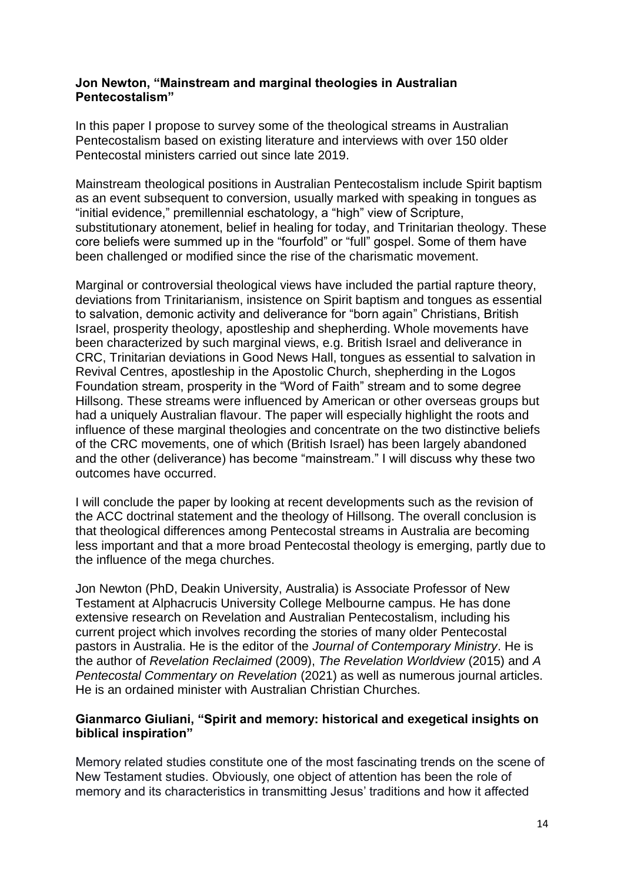# **Jon Newton, "Mainstream and marginal theologies in Australian Pentecostalism"**

In this paper I propose to survey some of the theological streams in Australian Pentecostalism based on existing literature and interviews with over 150 older Pentecostal ministers carried out since late 2019.

Mainstream theological positions in Australian Pentecostalism include Spirit baptism as an event subsequent to conversion, usually marked with speaking in tongues as "initial evidence," premillennial eschatology, a "high" view of Scripture, substitutionary atonement, belief in healing for today, and Trinitarian theology. These core beliefs were summed up in the "fourfold" or "full" gospel. Some of them have been challenged or modified since the rise of the charismatic movement.

Marginal or controversial theological views have included the partial rapture theory, deviations from Trinitarianism, insistence on Spirit baptism and tongues as essential to salvation, demonic activity and deliverance for "born again" Christians, British Israel, prosperity theology, apostleship and shepherding. Whole movements have been characterized by such marginal views, e.g. British Israel and deliverance in CRC, Trinitarian deviations in Good News Hall, tongues as essential to salvation in Revival Centres, apostleship in the Apostolic Church, shepherding in the Logos Foundation stream, prosperity in the "Word of Faith" stream and to some degree Hillsong. These streams were influenced by American or other overseas groups but had a uniquely Australian flavour. The paper will especially highlight the roots and influence of these marginal theologies and concentrate on the two distinctive beliefs of the CRC movements, one of which (British Israel) has been largely abandoned and the other (deliverance) has become "mainstream." I will discuss why these two outcomes have occurred.

I will conclude the paper by looking at recent developments such as the revision of the ACC doctrinal statement and the theology of Hillsong. The overall conclusion is that theological differences among Pentecostal streams in Australia are becoming less important and that a more broad Pentecostal theology is emerging, partly due to the influence of the mega churches.

Jon Newton (PhD, Deakin University, Australia) is Associate Professor of New Testament at Alphacrucis University College Melbourne campus. He has done extensive research on Revelation and Australian Pentecostalism, including his current project which involves recording the stories of many older Pentecostal pastors in Australia. He is the editor of the *Journal of Contemporary Ministry*. He is the author of *Revelation Reclaimed* (2009), *The Revelation Worldview* (2015) and *A Pentecostal Commentary on Revelation* (2021) as well as numerous journal articles. He is an ordained minister with Australian Christian Churches.

# **Gianmarco Giuliani, "Spirit and memory: historical and exegetical insights on biblical inspiration"**

Memory related studies constitute one of the most fascinating trends on the scene of New Testament studies. Obviously, one object of attention has been the role of memory and its characteristics in transmitting Jesus' traditions and how it affected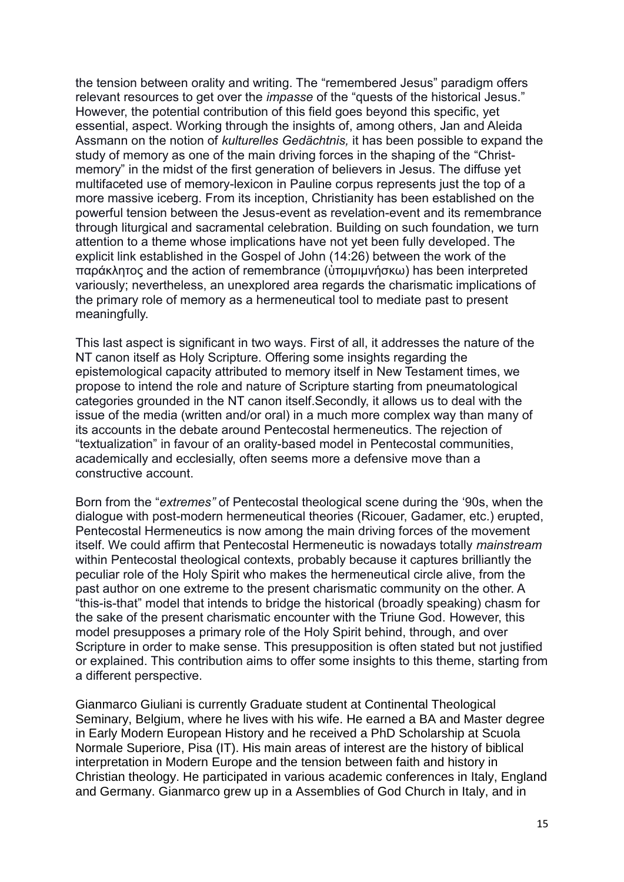the tension between orality and writing. The "remembered Jesus" paradigm offers relevant resources to get over the *impasse* of the "quests of the historical Jesus." However, the potential contribution of this field goes beyond this specific, yet essential, aspect. Working through the insights of, among others, Jan and Aleida Assmann on the notion of *kulturelles Gedächtnis,* it has been possible to expand the study of memory as one of the main driving forces in the shaping of the "Christmemory" in the midst of the first generation of believers in Jesus. The diffuse yet multifaceted use of memory-lexicon in Pauline corpus represents just the top of a more massive iceberg. From its inception, Christianity has been established on the powerful tension between the Jesus-event as revelation-event and its remembrance through liturgical and sacramental celebration. Building on such foundation, we turn attention to a theme whose implications have not yet been fully developed. The explicit link established in the Gospel of John (14:26) between the work of the παράκλητος and the action of remembrance (ὑπομιμνήσκω) has been interpreted variously; nevertheless, an unexplored area regards the charismatic implications of the primary role of memory as a hermeneutical tool to mediate past to present meaningfully.

This last aspect is significant in two ways. First of all, it addresses the nature of the NT canon itself as Holy Scripture. Offering some insights regarding the epistemological capacity attributed to memory itself in New Testament times, we propose to intend the role and nature of Scripture starting from pneumatological categories grounded in the NT canon itself.Secondly, it allows us to deal with the issue of the media (written and/or oral) in a much more complex way than many of its accounts in the debate around Pentecostal hermeneutics. The rejection of "textualization" in favour of an orality-based model in Pentecostal communities, academically and ecclesially, often seems more a defensive move than a constructive account.

Born from the "*extremes"* of Pentecostal theological scene during the '90s, when the dialogue with post-modern hermeneutical theories (Ricouer, Gadamer, etc.) erupted, Pentecostal Hermeneutics is now among the main driving forces of the movement itself. We could affirm that Pentecostal Hermeneutic is nowadays totally *mainstream* within Pentecostal theological contexts, probably because it captures brilliantly the peculiar role of the Holy Spirit who makes the hermeneutical circle alive, from the past author on one extreme to the present charismatic community on the other. A "this-is-that" model that intends to bridge the historical (broadly speaking) chasm for the sake of the present charismatic encounter with the Triune God. However, this model presupposes a primary role of the Holy Spirit behind, through, and over Scripture in order to make sense. This presupposition is often stated but not justified or explained. This contribution aims to offer some insights to this theme, starting from a different perspective.

Gianmarco Giuliani is currently Graduate student at Continental Theological Seminary, Belgium, where he lives with his wife. He earned a BA and Master degree in Early Modern European History and he received a PhD Scholarship at Scuola Normale Superiore, Pisa (IT). His main areas of interest are the history of biblical interpretation in Modern Europe and the tension between faith and history in Christian theology. He participated in various academic conferences in Italy, England and Germany. Gianmarco grew up in a Assemblies of God Church in Italy, and in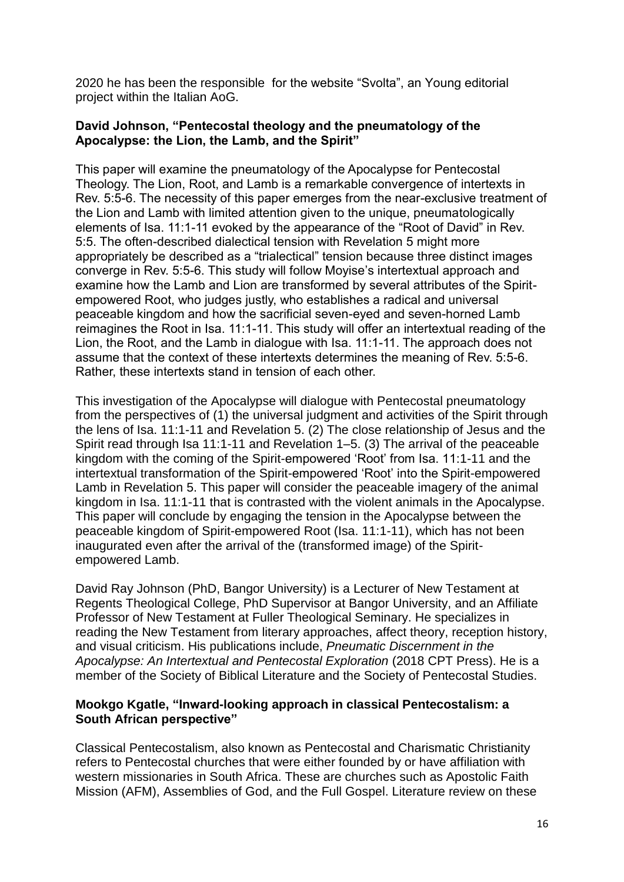2020 he has been the responsible for the website "Svolta", an Young editorial project within the Italian AoG.

# **David Johnson, "Pentecostal theology and the pneumatology of the Apocalypse: the Lion, the Lamb, and the Spirit"**

This paper will examine the pneumatology of the Apocalypse for Pentecostal Theology. The Lion, Root, and Lamb is a remarkable convergence of intertexts in Rev. 5:5-6. The necessity of this paper emerges from the near-exclusive treatment of the Lion and Lamb with limited attention given to the unique, pneumatologically elements of Isa. 11:1-11 evoked by the appearance of the "Root of David" in Rev. 5:5. The often-described dialectical tension with Revelation 5 might more appropriately be described as a "trialectical" tension because three distinct images converge in Rev. 5:5-6. This study will follow Moyise's intertextual approach and examine how the Lamb and Lion are transformed by several attributes of the Spiritempowered Root, who judges justly, who establishes a radical and universal peaceable kingdom and how the sacrificial seven-eyed and seven-horned Lamb reimagines the Root in Isa. 11:1-11. This study will offer an intertextual reading of the Lion, the Root, and the Lamb in dialogue with Isa. 11:1-11. The approach does not assume that the context of these intertexts determines the meaning of Rev. 5:5-6. Rather, these intertexts stand in tension of each other.

This investigation of the Apocalypse will dialogue with Pentecostal pneumatology from the perspectives of (1) the universal judgment and activities of the Spirit through the lens of Isa. 11:1-11 and Revelation 5. (2) The close relationship of Jesus and the Spirit read through Isa 11:1-11 and Revelation 1–5. (3) The arrival of the peaceable kingdom with the coming of the Spirit-empowered 'Root' from Isa. 11:1-11 and the intertextual transformation of the Spirit-empowered 'Root' into the Spirit-empowered Lamb in Revelation 5. This paper will consider the peaceable imagery of the animal kingdom in Isa. 11:1-11 that is contrasted with the violent animals in the Apocalypse. This paper will conclude by engaging the tension in the Apocalypse between the peaceable kingdom of Spirit-empowered Root (Isa. 11:1-11), which has not been inaugurated even after the arrival of the (transformed image) of the Spiritempowered Lamb.

David Ray Johnson (PhD, Bangor University) is a Lecturer of New Testament at Regents Theological College, PhD Supervisor at Bangor University, and an Affiliate Professor of New Testament at Fuller Theological Seminary. He specializes in reading the New Testament from literary approaches, affect theory, reception history, and visual criticism. His publications include, *Pneumatic Discernment in the Apocalypse: An Intertextual and Pentecostal Exploration* (2018 CPT Press). He is a member of the Society of Biblical Literature and the Society of Pentecostal Studies.

# **Mookgo Kgatle, "Inward-looking approach in classical Pentecostalism: a South African perspective"**

Classical Pentecostalism, also known as Pentecostal and Charismatic Christianity refers to Pentecostal churches that were either founded by or have affiliation with western missionaries in South Africa. These are churches such as Apostolic Faith Mission (AFM), Assemblies of God, and the Full Gospel. Literature review on these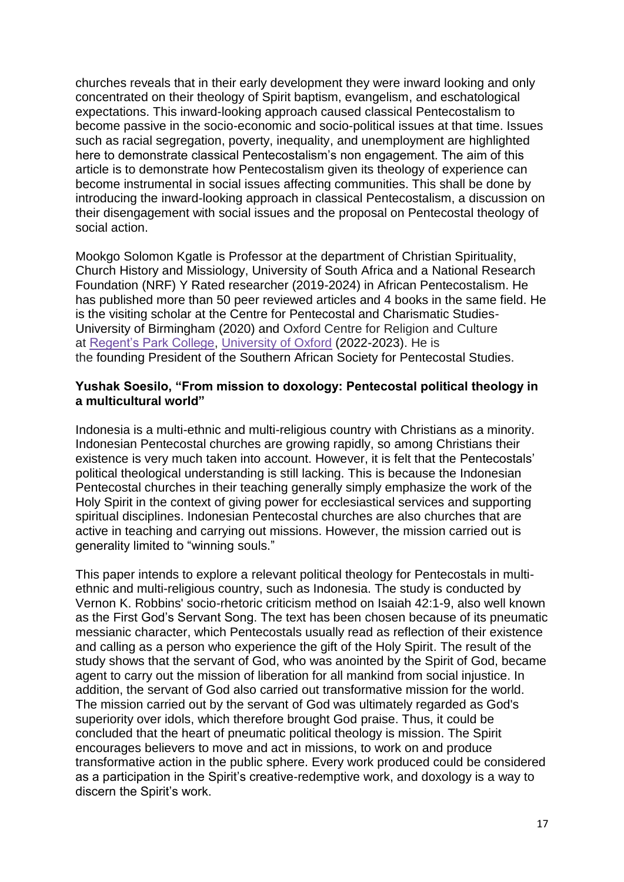churches reveals that in their early development they were inward looking and only concentrated on their theology of Spirit baptism, evangelism, and eschatological expectations. This inward-looking approach caused classical Pentecostalism to become passive in the socio-economic and socio-political issues at that time. Issues such as racial segregation, poverty, inequality, and unemployment are highlighted here to demonstrate classical Pentecostalism's non engagement. The aim of this article is to demonstrate how Pentecostalism given its theology of experience can become instrumental in social issues affecting communities. This shall be done by introducing the inward-looking approach in classical Pentecostalism, a discussion on their disengagement with social issues and the proposal on Pentecostal theology of social action.

Mookgo Solomon Kgatle is Professor at the department of Christian Spirituality, Church History and Missiology, University of South Africa and a National Research Foundation (NRF) Y Rated researcher (2019-2024) in African Pentecostalism. He has published more than 50 peer reviewed articles and 4 books in the same field. He is the visiting scholar at the Centre for Pentecostal and Charismatic Studies-University of Birmingham (2020) and Oxford Centre for Religion and Culture at [Regent's Park College,](https://eur02.safelinks.protection.outlook.com/?url=https%3A%2F%2Fen.m.wikipedia.org%2Fwiki%2FRegent%2527s_Park_College%2C_Oxford&data=05%7C01%7CSimo.Frestadius%40REGENTS-TC.AC.UK%7Cafc0b3c9322e4ea605db08da48a79bb2%7Cf2e5541705824629a4c85717ac7ed4a0%7C0%7C0%7C637902182091471311%7CUnknown%7CTWFpbGZsb3d8eyJWIjoiMC4wLjAwMDAiLCJQIjoiV2luMzIiLCJBTiI6Ik1haWwiLCJXVCI6Mn0%3D%7C2000%7C%7C%7C&sdata=Pef1v3o0ttu0o4X38Mh1tYHGDuTB845GSEquZu7%2B2nc%3D&reserved=0) [University of Oxford](https://eur02.safelinks.protection.outlook.com/?url=https%3A%2F%2Fen.m.wikipedia.org%2Fwiki%2FUniversity_of_Oxford&data=05%7C01%7CSimo.Frestadius%40REGENTS-TC.AC.UK%7Cafc0b3c9322e4ea605db08da48a79bb2%7Cf2e5541705824629a4c85717ac7ed4a0%7C0%7C0%7C637902182091481268%7CUnknown%7CTWFpbGZsb3d8eyJWIjoiMC4wLjAwMDAiLCJQIjoiV2luMzIiLCJBTiI6Ik1haWwiLCJXVCI6Mn0%3D%7C2000%7C%7C%7C&sdata=N0apNgiK01kNjbOcF4%2FQrEtXX500c7yqIPZstGhHTl4%3D&reserved=0) (2022-2023). He is the founding President of the Southern African Society for Pentecostal Studies.

#### **Yushak Soesilo, "From mission to doxology: Pentecostal political theology in a multicultural world"**

Indonesia is a multi-ethnic and multi-religious country with Christians as a minority. Indonesian Pentecostal churches are growing rapidly, so among Christians their existence is very much taken into account. However, it is felt that the Pentecostals' political theological understanding is still lacking. This is because the Indonesian Pentecostal churches in their teaching generally simply emphasize the work of the Holy Spirit in the context of giving power for ecclesiastical services and supporting spiritual disciplines. Indonesian Pentecostal churches are also churches that are active in teaching and carrying out missions. However, the mission carried out is generality limited to "winning souls."

This paper intends to explore a relevant political theology for Pentecostals in multiethnic and multi-religious country, such as Indonesia. The study is conducted by Vernon K. Robbins' socio-rhetoric criticism method on Isaiah 42:1-9, also well known as the First God's Servant Song. The text has been chosen because of its pneumatic messianic character, which Pentecostals usually read as reflection of their existence and calling as a person who experience the gift of the Holy Spirit. The result of the study shows that the servant of God, who was anointed by the Spirit of God, became agent to carry out the mission of liberation for all mankind from social injustice. In addition, the servant of God also carried out transformative mission for the world. The mission carried out by the servant of God was ultimately regarded as God's superiority over idols, which therefore brought God praise. Thus, it could be concluded that the heart of pneumatic political theology is mission. The Spirit encourages believers to move and act in missions, to work on and produce transformative action in the public sphere. Every work produced could be considered as a participation in the Spirit's creative-redemptive work, and doxology is a way to discern the Spirit's work.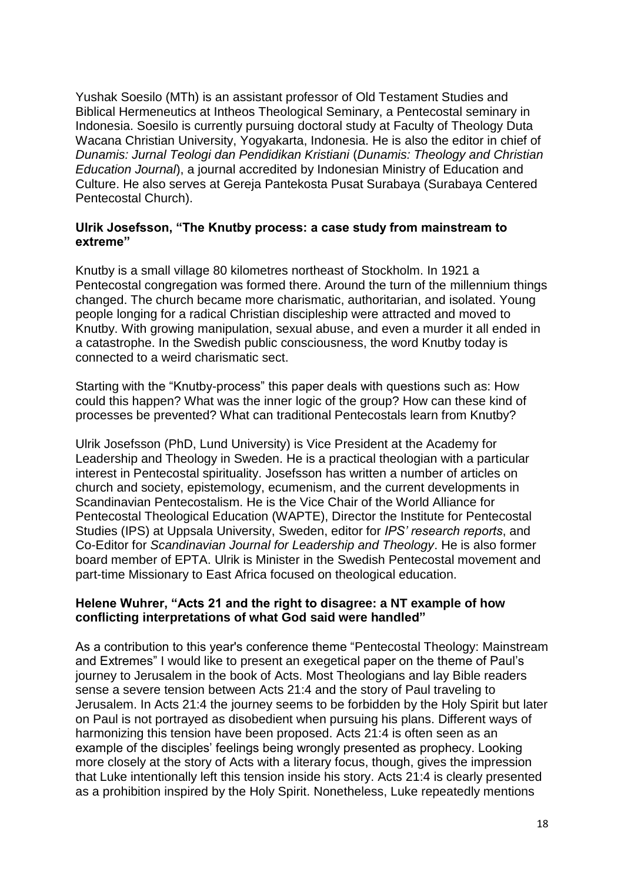Yushak Soesilo (MTh) is an assistant professor of Old Testament Studies and Biblical Hermeneutics at Intheos Theological Seminary, a Pentecostal seminary in Indonesia. Soesilo is currently pursuing doctoral study at Faculty of Theology Duta Wacana Christian University, Yogyakarta, Indonesia. He is also the editor in chief of *Dunamis: Jurnal Teologi dan Pendidikan Kristiani* (*Dunamis: Theology and Christian Education Journal*), a journal accredited by Indonesian Ministry of Education and Culture. He also serves at Gereja Pantekosta Pusat Surabaya (Surabaya Centered Pentecostal Church).

#### **Ulrik Josefsson, "The Knutby process: a case study from mainstream to extreme"**

Knutby is a small village 80 kilometres northeast of Stockholm. In 1921 a Pentecostal congregation was formed there. Around the turn of the millennium things changed. The church became more charismatic, authoritarian, and isolated. Young people longing for a radical Christian discipleship were attracted and moved to Knutby. With growing manipulation, sexual abuse, and even a murder it all ended in a catastrophe. In the Swedish public consciousness, the word Knutby today is connected to a weird charismatic sect.

Starting with the "Knutby-process" this paper deals with questions such as: How could this happen? What was the inner logic of the group? How can these kind of processes be prevented? What can traditional Pentecostals learn from Knutby?

Ulrik Josefsson (PhD, Lund University) is Vice President at the Academy for Leadership and Theology in Sweden. He is a practical theologian with a particular interest in Pentecostal spirituality. Josefsson has written a number of articles on church and society, epistemology, ecumenism, and the current developments in Scandinavian Pentecostalism. He is the Vice Chair of the World Alliance for Pentecostal Theological Education (WAPTE), Director the Institute for Pentecostal Studies (IPS) at Uppsala University, Sweden, editor for *IPS' research reports*, and Co-Editor for *Scandinavian Journal for Leadership and Theology*. He is also former board member of EPTA. Ulrik is Minister in the Swedish Pentecostal movement and part-time Missionary to East Africa focused on theological education.

#### **Helene Wuhrer, "Acts 21 and the right to disagree: a NT example of how conflicting interpretations of what God said were handled"**

As a contribution to this year's conference theme "Pentecostal Theology: Mainstream and Extremes" I would like to present an exegetical paper on the theme of Paul's journey to Jerusalem in the book of Acts. Most Theologians and lay Bible readers sense a severe tension between Acts 21:4 and the story of Paul traveling to Jerusalem. In Acts 21:4 the journey seems to be forbidden by the Holy Spirit but later on Paul is not portrayed as disobedient when pursuing his plans. Different ways of harmonizing this tension have been proposed. Acts 21:4 is often seen as an example of the disciples' feelings being wrongly presented as prophecy. Looking more closely at the story of Acts with a literary focus, though, gives the impression that Luke intentionally left this tension inside his story. Acts 21:4 is clearly presented as a prohibition inspired by the Holy Spirit. Nonetheless, Luke repeatedly mentions